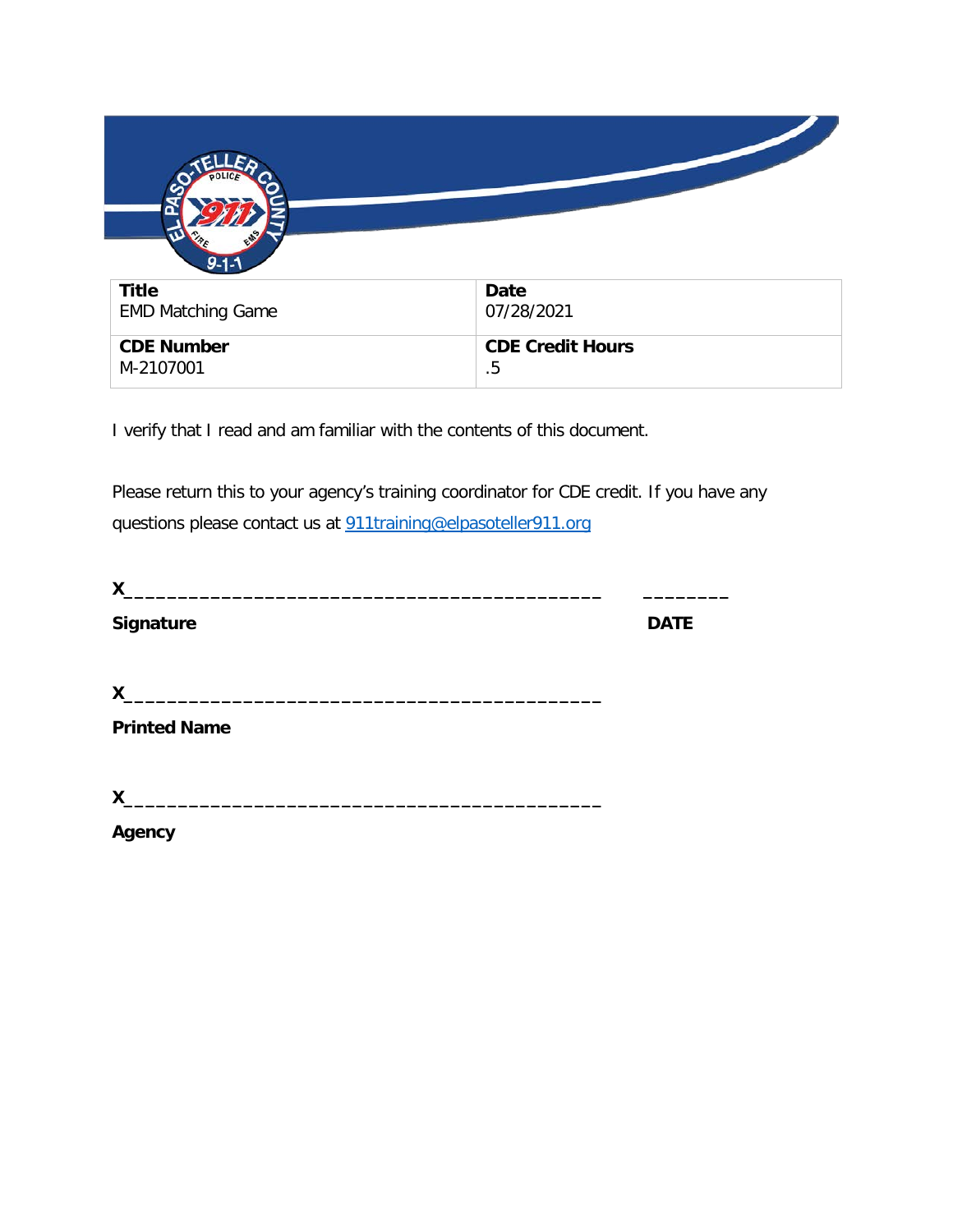

I verify that I read and am familiar with the contents of this document.

Please return this to your agency's training coordinator for CDE credit. If you have any questions please contact us at [911training@elpasoteller911.org](mailto:911training@elpasoteller911.org)

| X                   |             |
|---------------------|-------------|
| <b>Signature</b>    | <b>DATE</b> |
| X                   |             |
| <b>Printed Name</b> |             |
| $X_{-}$             |             |
| Agency              |             |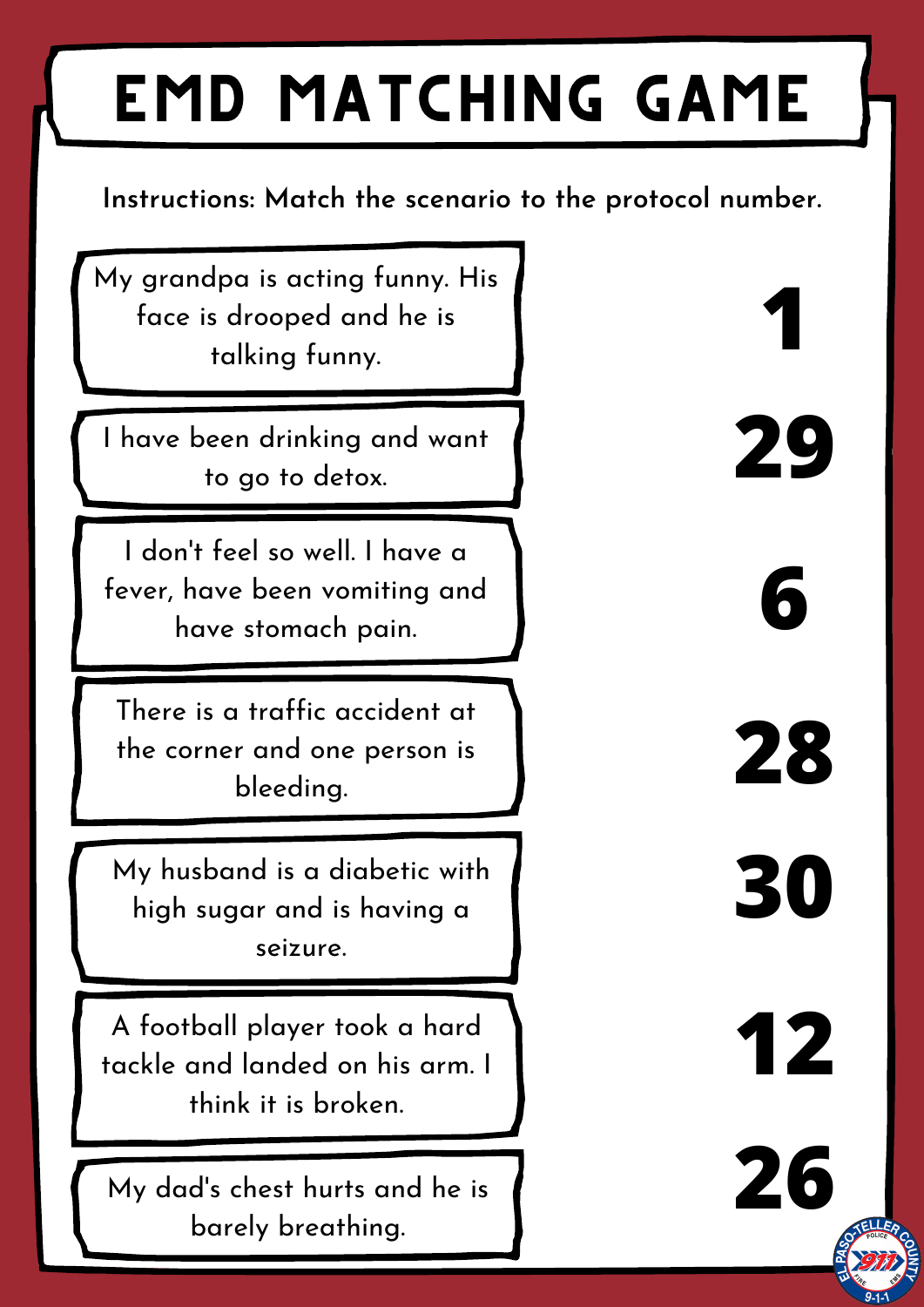## EMD Matching Game

## **Instructions: Match the scenario to the protocol number.**

My grandpa is acting funny. His face is drooped and he is talking funny.

I have been drinking and want to go to detox.

I don 't feel so well. I have a fever, have been vomiting and have stomach pain.

There is a traffic accident at the corner and one person is bleeding.

My husband is a diabetic with high sugar and is having a seizure.

A football player took a hard tackle and landed on his arm. I think it is broken.

My dad' s chest hurts and he is barely breathing.